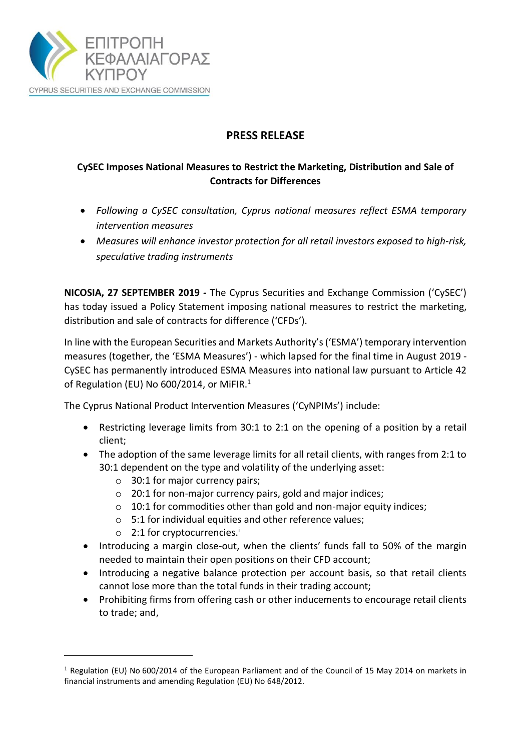

## **PRESS RELEASE**

## **CySEC Imposes National Measures to Restrict the Marketing, Distribution and Sale of Contracts for Differences**

- *Following a CySEC consultation, Cyprus national measures reflect ESMA temporary intervention measures*
- *Measures will enhance investor protection for all retail investors exposed to high-risk, speculative trading instruments*

**NICOSIA, 27 SEPTEMBER 2019** *-* The Cyprus Securities and Exchange Commission ('CySEC') has today issued a Policy Statement imposing national measures to restrict the marketing, distribution and sale of contracts for difference ('CFDs').

In line with the European Securities and Markets Authority's ('ESMA') temporary intervention measures (together, the 'ESMA Measures') - which lapsed for the final time in August 2019 - CySEC has permanently introduced ESMA Measures into national law pursuant to Article 42 of Regulation (EU) No 600/2014, or MiFIR.<sup>1</sup>

The Cyprus National Product Intervention Measures ('CyNPIMs') include:

- Restricting leverage limits from 30:1 to 2:1 on the opening of a position by a retail client;
- The adoption of the same leverage limits for all retail clients, with ranges from 2:1 to 30:1 dependent on the type and volatility of the underlying asset:
	- o 30:1 for major currency pairs;
	- o 20:1 for non-major currency pairs, gold and major indices;
	- $\circ$  10:1 for commodities other than gold and non-major equity indices;
	- o 5:1 for individual equities and other reference values;
	- $\circ$  2:1 for cryptocurrencies.<sup>i</sup>

**.** 

- Introducing a margin close-out, when the clients' funds fall to 50% of the margin needed to maintain their open positions on their CFD account;
- Introducing a negative balance protection per account basis, so that retail clients cannot lose more than the total funds in their trading account;
- Prohibiting firms from offering cash or other inducements to encourage retail clients to trade; and,

<sup>&</sup>lt;sup>1</sup> Regulation (EU) No 600/2014 of the European Parliament and of the Council of 15 May 2014 on markets in financial instruments and amending Regulation (EU) No 648/2012.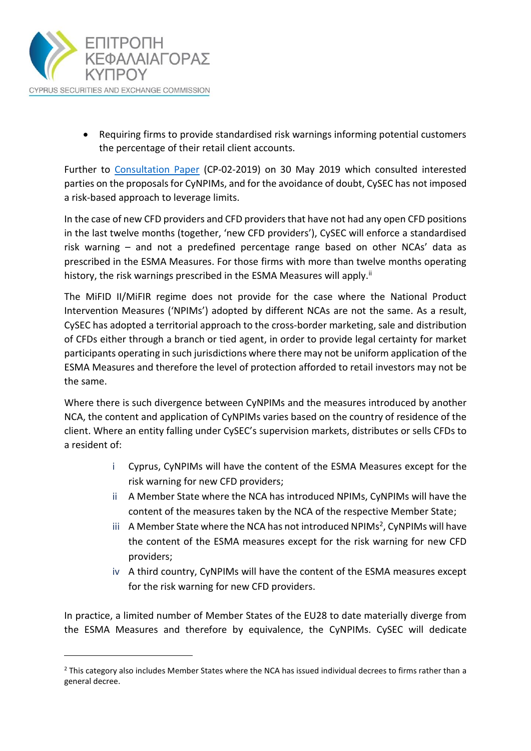

**.** 

 Requiring firms to provide standardised risk warnings informing potential customers the percentage of their retail client accounts.

Further to [Consultation Paper](https://www.cysec.gov.cy/CMSPages/GetFile.aspx?guid=efb41dd3-9c23-42fc-b057-c5edcd389226) (CP-02-2019) on 30 May 2019 which consulted interested parties on the proposals for CyNPIMs, and for the avoidance of doubt, CySEC has not imposed a risk-based approach to leverage limits.

In the case of new CFD providers and CFD providers that have not had any open CFD positions in the last twelve months (together, 'new CFD providers'), CySEC will enforce a standardised risk warning – and not a predefined percentage range based on other NCAs' data as prescribed in the ESMA Measures. For those firms with more than twelve months operating history, the risk warnings prescribed in the ESMA Measures will apply.<sup>ii</sup>

The MiFID II/MiFIR regime does not provide for the case where the National Product Intervention Measures ('NPIMs') adopted by different NCAs are not the same. As a result, CySEC has adopted a territorial approach to the cross-border marketing, sale and distribution of CFDs either through a branch or tied agent, in order to provide legal certainty for market participants operating in such jurisdictions where there may not be uniform application of the ESMA Measures and therefore the level of protection afforded to retail investors may not be the same.

Where there is such divergence between CyNPIMs and the measures introduced by another NCA, the content and application of CyNPIMs varies based on the country of residence of the client. Where an entity falling under CySEC's supervision markets, distributes or sells CFDs to a resident of:

- i Cyprus, CyNPIMs will have the content of the ESMA Measures except for the risk warning for new CFD providers;
- ii A Member State where the NCA has introduced NPIMs, CyNPIMs will have the content of the measures taken by the NCA of the respective Member State;
- iii A Member State where the NCA has not introduced NPIMs<sup>2</sup>, CyNPIMs will have the content of the ESMA measures except for the risk warning for new CFD providers;
- iv A third country, CyNPIMs will have the content of the ESMA measures except for the risk warning for new CFD providers.

In practice, a limited number of Member States of the EU28 to date materially diverge from the ESMA Measures and therefore by equivalence, the CyNPIMs. CySEC will dedicate

<sup>&</sup>lt;sup>2</sup> This category also includes Member States where the NCA has issued individual decrees to firms rather than a general decree.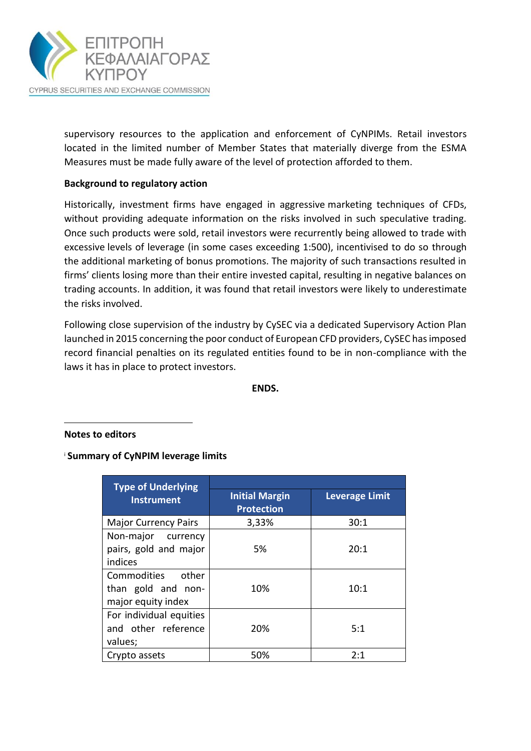

supervisory resources to the application and enforcement of CyNPIMs. Retail investors located in the limited number of Member States that materially diverge from the ESMA Measures must be made fully aware of the level of protection afforded to them.

## **Background to regulatory action**

Historically, investment firms have engaged in aggressive marketing techniques of CFDs, without providing adequate information on the risks involved in such speculative trading. Once such products were sold, retail investors were recurrently being allowed to trade with excessive levels of leverage (in some cases exceeding 1:500), incentivised to do so through the additional marketing of bonus promotions. The majority of such transactions resulted in firms' clients losing more than their entire invested capital, resulting in negative balances on trading accounts. In addition, it was found that retail investors were likely to underestimate the risks involved.

Following close supervision of the industry by CySEC via a dedicated Supervisory Action Plan launched in 2015 concerning the poor conduct of European CFD providers, CySEC has imposed record financial penalties on its regulated entities found to be in non-compliance with the laws it has in place to protect investors.

**ENDS.**

**Notes to editors**

**.** 

<sup>i</sup> **Summary of CyNPIM leverage limits**

| <b>Type of Underlying</b>   |                                            |                       |
|-----------------------------|--------------------------------------------|-----------------------|
| <b>Instrument</b>           | <b>Initial Margin</b><br><b>Protection</b> | <b>Leverage Limit</b> |
| <b>Major Currency Pairs</b> | 3,33%                                      | 30:1                  |
| Non-major currency          |                                            |                       |
| pairs, gold and major       | 5%                                         | 20:1                  |
| indices                     |                                            |                       |
| Commodities<br>other        |                                            |                       |
| than gold and non-          | 10%                                        | 10:1                  |
| major equity index          |                                            |                       |
| For individual equities     |                                            |                       |
| and other reference         | 20%                                        | 5:1                   |
| values;                     |                                            |                       |
| Crypto assets               | 50%                                        | 2:1                   |